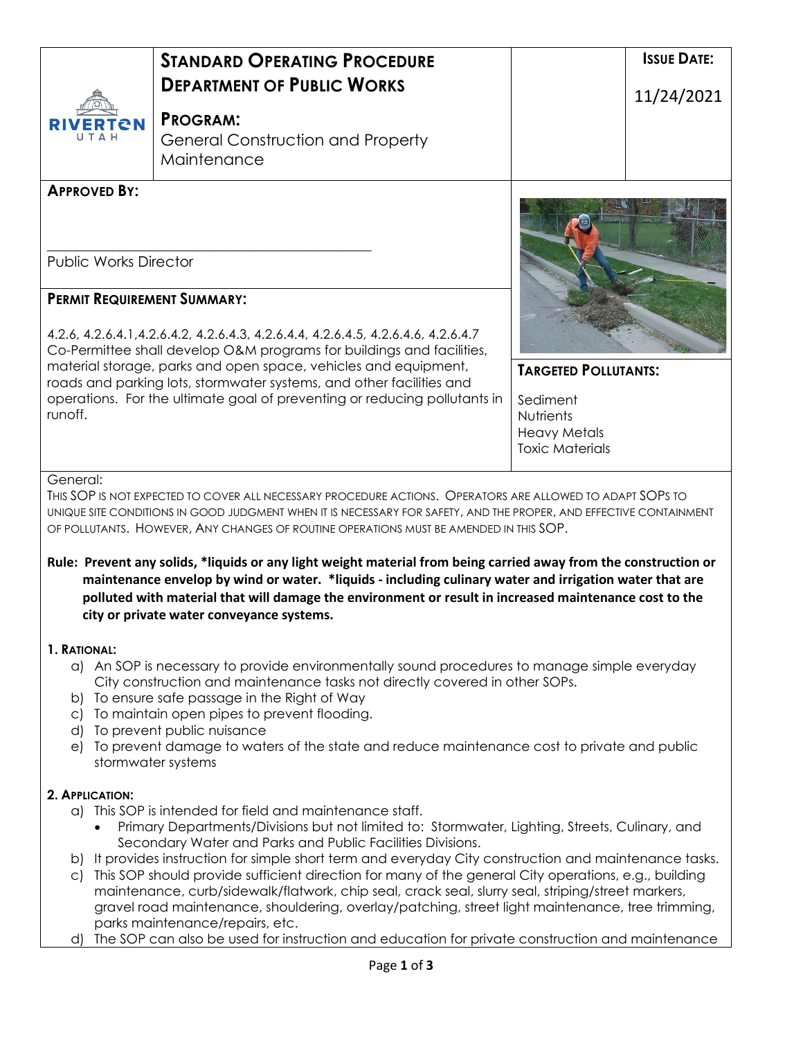| re N                                                                                                                                                                                                                                                                                                                                                                                                                                                                                        | <b>STANDARD OPERATING PROCEDURE</b><br><b>DEPARTMENT OF PUBLIC WORKS</b><br><b>PROGRAM:</b><br><b>General Construction and Property</b><br>Maintenance                                                                                                                                                                                                                                                                                                                                                                                                                                                                                                                                                                                                                                                                                                                                                                                                                                                                    | <b>ISSUE DATE:</b><br>11/24/2021                                                                      |  |
|---------------------------------------------------------------------------------------------------------------------------------------------------------------------------------------------------------------------------------------------------------------------------------------------------------------------------------------------------------------------------------------------------------------------------------------------------------------------------------------------|---------------------------------------------------------------------------------------------------------------------------------------------------------------------------------------------------------------------------------------------------------------------------------------------------------------------------------------------------------------------------------------------------------------------------------------------------------------------------------------------------------------------------------------------------------------------------------------------------------------------------------------------------------------------------------------------------------------------------------------------------------------------------------------------------------------------------------------------------------------------------------------------------------------------------------------------------------------------------------------------------------------------------|-------------------------------------------------------------------------------------------------------|--|
| <b>APPROVED BY:</b><br><b>Public Works Director</b><br><b>PERMIT REQUIREMENT SUMMARY:</b><br>4.2.6, 4.2.6.4.1, 4.2.6.4.2, 4.2.6.4.3, 4.2.6.4.4, 4.2.6.4.5, 4.2.6.4.6, 4.2.6.4.7<br>Co-Permittee shall develop O&M programs for buildings and facilities,<br>material storage, parks and open space, vehicles and equipment,<br>roads and parking lots, stormwater systems, and other facilities and<br>operations. For the ultimate goal of preventing or reducing pollutants in<br>runoff. |                                                                                                                                                                                                                                                                                                                                                                                                                                                                                                                                                                                                                                                                                                                                                                                                                                                                                                                                                                                                                           | <b>TARGETED POLLUTANTS:</b><br>Sediment<br>Nutrients<br><b>Heavy Metals</b><br><b>Toxic Materials</b> |  |
| General:<br>1. RATIONAL:<br>b)<br>$\mathsf{C}$<br>d)                                                                                                                                                                                                                                                                                                                                                                                                                                        | THIS SOP IS NOT EXPECTED TO COVER ALL NECESSARY PROCEDURE ACTIONS. OPERATORS ARE ALLOWED TO ADAPT SOPS TO<br>UNIQUE SITE CONDITIONS IN GOOD JUDGMENT WHEN IT IS NECESSARY FOR SAFETY, AND THE PROPER, AND EFFECTIVE CONTAINMENT<br>OF POLLUTANTS. HOWEVER, ANY CHANGES OF ROUTINE OPERATIONS MUST BE AMENDED IN THIS SOP.<br>Rule: Prevent any solids, *liquids or any light weight material from being carried away from the construction or<br>maintenance envelop by wind or water. *liquids - including culinary water and irrigation water that are<br>polluted with material that will damage the environment or result in increased maintenance cost to the<br>city or private water conveyance systems.<br>a) An SOP is necessary to provide environmentally sound procedures to manage simple everyday<br>City construction and maintenance tasks not directly covered in other SOPs.<br>To ensure safe passage in the Right of Way<br>To maintain open pipes to prevent flooding.<br>To prevent public nuisance |                                                                                                       |  |
| e)<br>2. APPLICATION:<br>b)<br>$\subset$<br>d)                                                                                                                                                                                                                                                                                                                                                                                                                                              | To prevent damage to waters of the state and reduce maintenance cost to private and public<br>stormwater systems<br>a) This SOP is intended for field and maintenance staff.<br>Primary Departments/Divisions but not limited to: Stormwater, Lighting, Streets, Culinary, and<br>Secondary Water and Parks and Public Facilities Divisions.<br>It provides instruction for simple short term and everyday City construction and maintenance tasks.<br>This SOP should provide sufficient direction for many of the general City operations, e.g., building<br>maintenance, curb/sidewalk/flatwork, chip seal, crack seal, slurry seal, striping/street markers,<br>gravel road maintenance, shouldering, overlay/patching, street light maintenance, tree trimming,<br>parks maintenance/repairs, etc.<br>The SOP can also be used for instruction and education for private construction and maintenance                                                                                                                |                                                                                                       |  |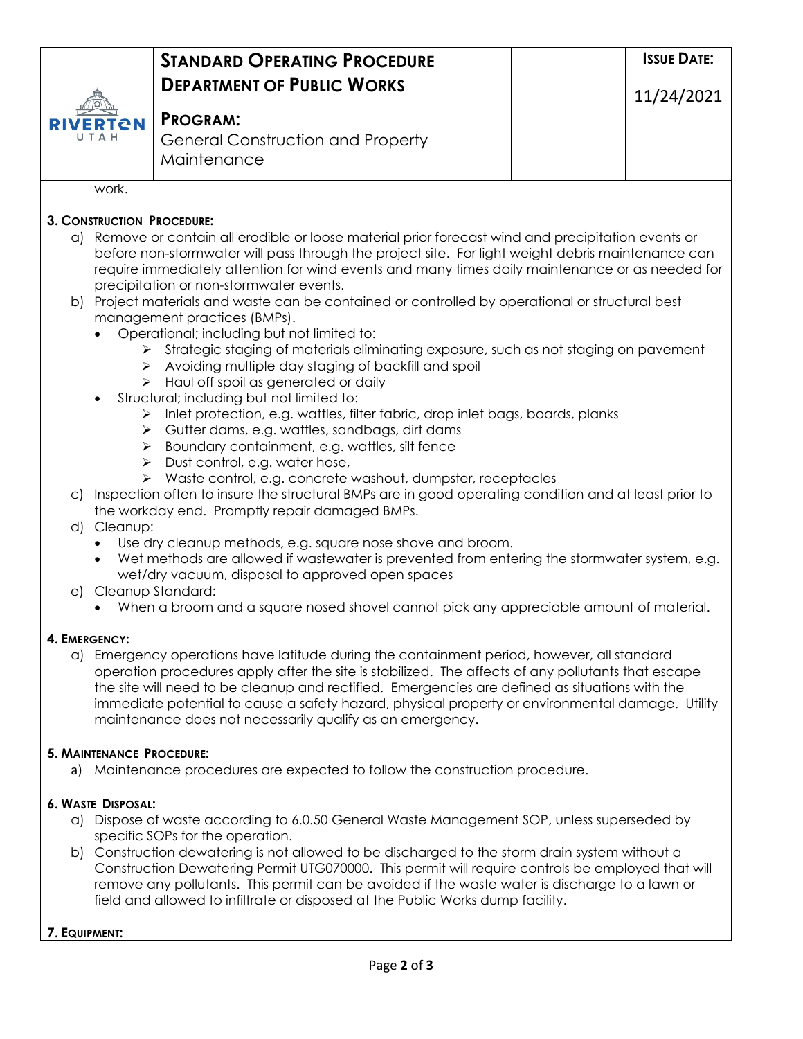|                         | <b>STANDARD OPERATING PROCEDURE</b>      | <b>ISSUE DATE:</b> |  |
|-------------------------|------------------------------------------|--------------------|--|
| <b>RIVERTON</b><br>UTAH |                                          |                    |  |
|                         | <b>DEPARTMENT OF PUBLIC WORKS</b>        | 11/24/2021         |  |
|                         | <b>PROGRAM:</b>                          |                    |  |
|                         | <b>General Construction and Property</b> |                    |  |
|                         | Maintenance                              |                    |  |
| work                    |                                          |                    |  |

# **3. CONSTRUCTION PROCEDURE:**

- a) Remove or contain all erodible or loose material prior forecast wind and precipitation events or before non-stormwater will pass through the project site. For light weight debris maintenance can require immediately attention for wind events and many times daily maintenance or as needed for precipitation or non-stormwater events.
- b) Project materials and waste can be contained or controlled by operational or structural best management practices (BMPs).
	- Operational; including but not limited to:
		- $\triangleright$  Strategic staging of materials eliminating exposure, such as not staging on pavement
		- $\triangleright$  Avoiding multiple day staging of backfill and spoil
		- > Haul off spoil as generated or daily
	- Structural; including but not limited to:
		- $\triangleright$  Inlet protection, e.g. wattles, filter fabric, drop inlet bags, boards, planks
		- Gutter dams, e.g. wattles, sandbags, dirt dams
		- $\triangleright$  Boundary containment, e.g. wattles, silt fence
		- $\triangleright$  Dust control, e.g. water hose,
		- $\triangleright$  Waste control, e.g. concrete washout, dumpster, receptacles
- c) Inspection often to insure the structural BMPs are in good operating condition and at least prior to the workday end. Promptly repair damaged BMPs.
- d) Cleanup:
	- Use dry cleanup methods, e.g. square nose shove and broom.
	- Wet methods are allowed if wastewater is prevented from entering the stormwater system, e.g. wet/dry vacuum, disposal to approved open spaces
- e) Cleanup Standard:
	- When a broom and a square nosed shovel cannot pick any appreciable amount of material.

### **4. EMERGENCY:**

a) Emergency operations have latitude during the containment period, however, all standard operation procedures apply after the site is stabilized. The affects of any pollutants that escape the site will need to be cleanup and rectified. Emergencies are defined as situations with the immediate potential to cause a safety hazard, physical property or environmental damage. Utility maintenance does not necessarily qualify as an emergency.

### **5. MAINTENANCE PROCEDURE:**

a) Maintenance procedures are expected to follow the construction procedure.

## **6. WASTE DISPOSAL:**

- a) Dispose of waste according to 6.0.50 General Waste Management SOP, unless superseded by specific SOPs for the operation.
- b) Construction dewatering is not allowed to be discharged to the storm drain system without a Construction Dewatering Permit UTG070000. This permit will require controls be employed that will remove any pollutants. This permit can be avoided if the waste water is discharge to a lawn or field and allowed to infiltrate or disposed at the Public Works dump facility.

### **7. EQUIPMENT:**